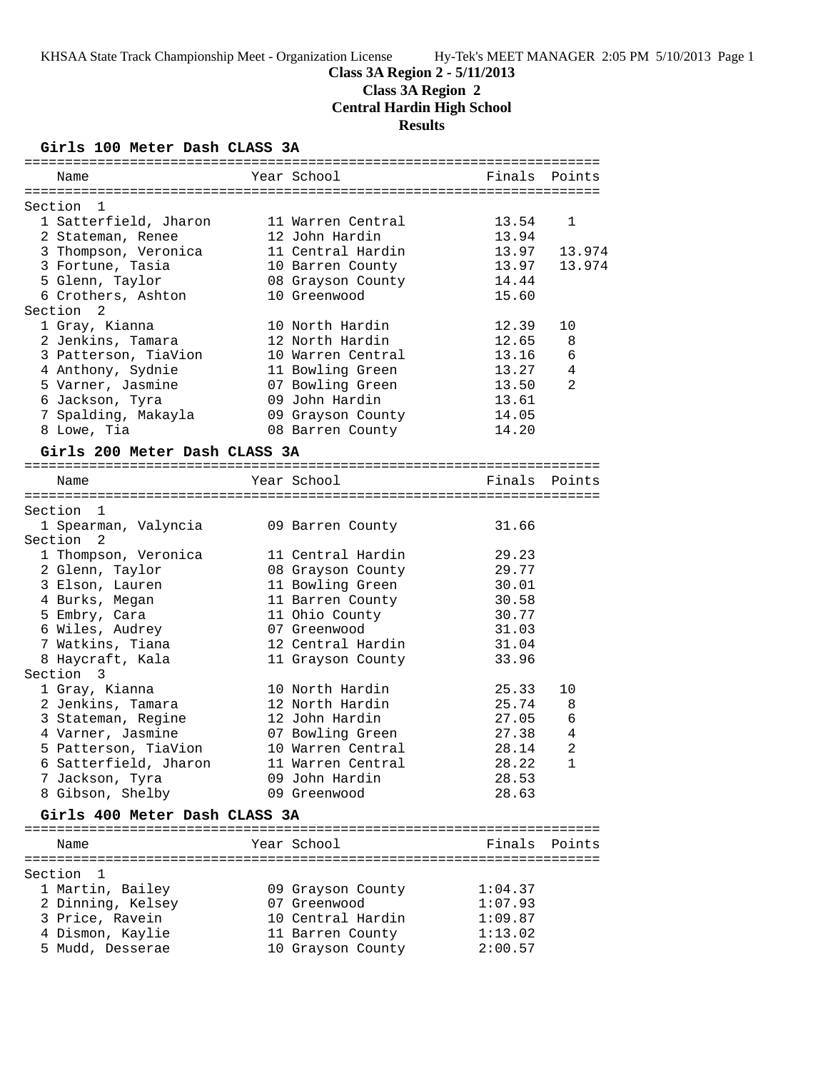# **Class 3A Region 2 - 5/11/2013**

**Class 3A Region 2**

**Central Hardin High School**

**Results**

### **Girls 100 Meter Dash CLASS 3A**

|                      | Name                          | Year School       | Finals | Points         |
|----------------------|-------------------------------|-------------------|--------|----------------|
| Section 1            |                               |                   |        |                |
|                      | 1 Satterfield, Jharon         | 11 Warren Central | 13.54  | $\mathbf{1}$   |
|                      | 2 Stateman, Renee             | 12 John Hardin    | 13.94  |                |
|                      | 3 Thompson, Veronica          | 11 Central Hardin | 13.97  | 13.974         |
|                      | 3 Fortune, Tasia              | 10 Barren County  | 13.97  | 13.974         |
|                      | 5 Glenn, Taylor               | 08 Grayson County | 14.44  |                |
|                      | 6 Crothers, Ashton            | 10 Greenwood      | 15.60  |                |
| Section              | 2                             |                   |        |                |
|                      | 1 Gray, Kianna                | 10 North Hardin   | 12.39  | 10             |
|                      | 2 Jenkins, Tamara             | 12 North Hardin   | 12.65  | 8              |
|                      | 3 Patterson, TiaVion          | 10 Warren Central | 13.16  | 6              |
|                      | 4 Anthony, Sydnie             | 11 Bowling Green  | 13.27  | 4              |
|                      | 5 Varner, Jasmine             | 07 Bowling Green  | 13.50  | $\overline{a}$ |
|                      | 6 Jackson, Tyra               | 09 John Hardin    | 13.61  |                |
|                      | 7 Spalding, Makayla           | 09 Grayson County | 14.05  |                |
|                      | 8 Lowe, Tia                   | 08 Barren County  | 14.20  |                |
|                      | Girls 200 Meter Dash CLASS 3A |                   |        |                |
|                      |                               |                   |        |                |
|                      | Name                          | Year School       | Finals | Points         |
|                      |                               |                   |        |                |
| Section              | $\mathbf{1}$                  |                   |        |                |
|                      | 1 Spearman, Valyncia          | 09 Barren County  | 31.66  |                |
| Section <sub>2</sub> |                               |                   |        |                |
|                      | 1 Thompson, Veronica          | 11 Central Hardin | 29.23  |                |
|                      | 2 Glenn, Taylor               | 08 Grayson County | 29.77  |                |
|                      | 3 Elson, Lauren               | 11 Bowling Green  | 30.01  |                |
|                      | 4 Burks, Megan                | 11 Barren County  | 30.58  |                |
|                      | 5 Embry, Cara                 | 11 Ohio County    | 30.77  |                |
|                      | 6 Wiles, Audrey               | 07 Greenwood      | 31.03  |                |
|                      | 7 Watkins, Tiana              | 12 Central Hardin | 31.04  |                |
|                      | 8 Haycraft, Kala              | 11 Grayson County | 33.96  |                |
| Section 3            |                               |                   |        |                |
|                      | 1 Gray, Kianna                | 10 North Hardin   | 25.33  | 10             |
|                      | 2 Jenkins, Tamara             | 12 North Hardin   | 25.74  | 8              |
|                      | 3 Stateman, Regine            | 12 John Hardin    | 27.05  | 6              |
|                      | 4 Varner, Jasmine             | 07 Bowling Green  | 27.38  | 4              |
|                      | 5 Patterson, TiaVion          | 10 Warren Central | 28.14  | 2              |
|                      | 6 Satterfield, Jharon         | 11 Warren Central | 28.22  | $\mathbf{1}$   |
|                      | 7 Jackson, Tyra               | 09 John Hardin    | 28.53  |                |
|                      | 8 Gibson, Shelby              | 09 Greenwood      | 28.63  |                |
|                      | Girls 400 Meter Dash CLASS 3A |                   |        |                |
|                      |                               |                   |        |                |

| Name              | Year School       | Finals Points |
|-------------------|-------------------|---------------|
| Section 1         |                   |               |
| 1 Martin, Bailey  | 09 Grayson County | 1:04.37       |
| 2 Dinning, Kelsey | 07 Greenwood      | 1:07.93       |
| 3 Price, Ravein   | 10 Central Hardin | 1:09.87       |
| 4 Dismon, Kaylie  | 11 Barren County  | 1:13.02       |
| 5 Mudd, Desserae  | 10 Grayson County | 2:00.57       |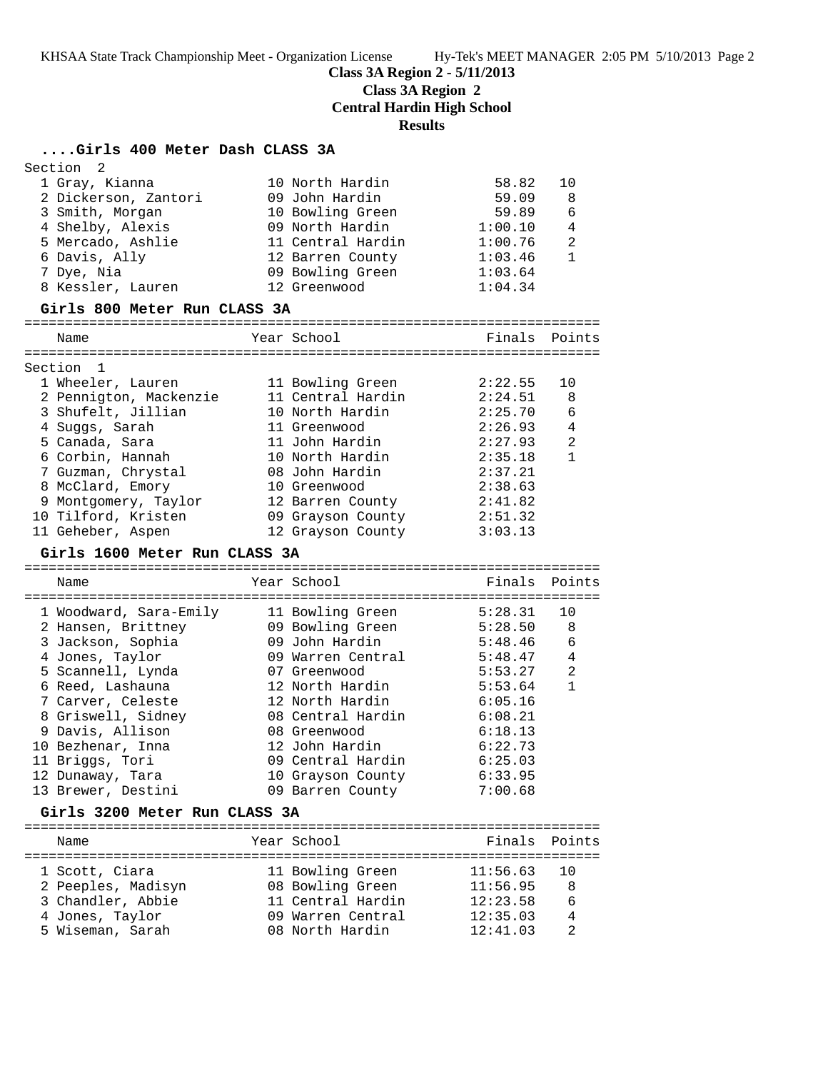**Class 3A Region 2 - 5/11/2013**

**Class 3A Region 2**

**Central Hardin High School**

**Results**

# **....Girls 400 Meter Dash CLASS 3A**

Section 2

| 1 Gray, Kianna<br>2 Dickerson, Zantori<br>3 Smith, Morgan<br>4 Shelby, Alexis<br>5 Mercado, Ashlie<br>6 Davis, Ally<br>7 Dye, Nia<br>8 Kessler, Lauren<br>Girls 800 Meter Run CLASS 3A | 10 North Hardin<br>09 John Hardin<br>10 Bowling Green<br>09 North Hardin<br>11 Central Hardin<br>12 Barren County<br>09 Bowling Green<br>12 Greenwood | 58.82<br>59.09<br>59.89<br>1:00.10<br>1:00.76<br>1:03.46<br>1:03.64<br>1:04.34 | 10<br>8<br>6<br>4<br>2<br>$\mathbf{1}$ |
|----------------------------------------------------------------------------------------------------------------------------------------------------------------------------------------|-------------------------------------------------------------------------------------------------------------------------------------------------------|--------------------------------------------------------------------------------|----------------------------------------|
| Name                                                                                                                                                                                   | Year School                                                                                                                                           | Finals                                                                         | Points                                 |
|                                                                                                                                                                                        |                                                                                                                                                       |                                                                                |                                        |
| Section 1                                                                                                                                                                              |                                                                                                                                                       |                                                                                |                                        |
| 1 Wheeler, Lauren                                                                                                                                                                      | 11 Bowling Green                                                                                                                                      | 2:22.55                                                                        | 10                                     |
| 2 Pennigton, Mackenzie                                                                                                                                                                 | 11 Central Hardin                                                                                                                                     | 2:24.51                                                                        | 8                                      |
| 3 Shufelt, Jillian                                                                                                                                                                     | 10 North Hardin                                                                                                                                       | 2:25.70                                                                        | 6                                      |
| 4 Suggs, Sarah                                                                                                                                                                         | 11 Greenwood                                                                                                                                          | 2:26.93                                                                        | 4                                      |
| 5 Canada, Sara                                                                                                                                                                         | 11 John Hardin                                                                                                                                        | 2:27.93                                                                        | 2                                      |
| 6 Corbin, Hannah                                                                                                                                                                       | 10 North Hardin                                                                                                                                       | 2:35.18                                                                        | $\mathbf{1}$                           |
| 7 Guzman, Chrystal                                                                                                                                                                     | 08 John Hardin                                                                                                                                        | 2:37.21                                                                        |                                        |
| 8 McClard, Emory                                                                                                                                                                       | 10 Greenwood                                                                                                                                          | 2:38.63                                                                        |                                        |
| 9 Montgomery, Taylor                                                                                                                                                                   | 12 Barren County                                                                                                                                      | 2:41.82                                                                        |                                        |
| 10 Tilford, Kristen                                                                                                                                                                    | 09 Grayson County                                                                                                                                     | 2:51.32                                                                        |                                        |
| 11 Geheber, Aspen                                                                                                                                                                      | 12 Grayson County                                                                                                                                     | 3:03.13                                                                        |                                        |
| Girls 1600 Meter Run CLASS 3A                                                                                                                                                          |                                                                                                                                                       |                                                                                |                                        |
|                                                                                                                                                                                        |                                                                                                                                                       |                                                                                |                                        |
| Name                                                                                                                                                                                   | Year School                                                                                                                                           | Finals                                                                         | Points                                 |
|                                                                                                                                                                                        |                                                                                                                                                       | 5:28.31                                                                        | 10                                     |
| 1 Woodward, Sara-Emily                                                                                                                                                                 | 11 Bowling Green<br>09 Bowling Green                                                                                                                  | 5:28.50                                                                        | 8                                      |
|                                                                                                                                                                                        |                                                                                                                                                       |                                                                                |                                        |
| 2 Hansen, Brittney                                                                                                                                                                     |                                                                                                                                                       |                                                                                |                                        |
| 3 Jackson, Sophia                                                                                                                                                                      | 09 John Hardin                                                                                                                                        | 5:48.46                                                                        | 6                                      |
| 4 Jones, Taylor                                                                                                                                                                        | 09 Warren Central                                                                                                                                     | 5:48.47                                                                        | 4                                      |
| 5 Scannell, Lynda                                                                                                                                                                      | 07 Greenwood                                                                                                                                          | 5:53.27                                                                        | 2                                      |
| 6 Reed, Lashauna                                                                                                                                                                       | 12 North Hardin                                                                                                                                       | 5:53.64                                                                        | $\mathbf{1}$                           |
| 7 Carver, Celeste                                                                                                                                                                      | 12 North Hardin                                                                                                                                       | 6:05.16                                                                        |                                        |
| 8 Griswell, Sidney                                                                                                                                                                     | 08 Central Hardin                                                                                                                                     | 6:08.21                                                                        |                                        |
| 9 Davis, Allison                                                                                                                                                                       | 08 Greenwood                                                                                                                                          | 6:18.13                                                                        |                                        |
| 10 Bezhenar, Inna                                                                                                                                                                      | 12 John Hardin                                                                                                                                        | 6:22.73                                                                        |                                        |
| 11 Briggs, Tori                                                                                                                                                                        | 09 Central Hardin                                                                                                                                     | 6:25.03                                                                        |                                        |
| 12 Dunaway, Tara                                                                                                                                                                       | 10 Grayson County                                                                                                                                     | 6:33.95                                                                        |                                        |
| 13 Brewer, Destini                                                                                                                                                                     | 09 Barren County                                                                                                                                      | 7:00.68                                                                        |                                        |
| Girls 3200 Meter Run CLASS 3A                                                                                                                                                          |                                                                                                                                                       |                                                                                |                                        |
| Name                                                                                                                                                                                   | Year School                                                                                                                                           | Finals                                                                         | Points                                 |
|                                                                                                                                                                                        |                                                                                                                                                       |                                                                                |                                        |
| 1 Scott, Ciara                                                                                                                                                                         | 11 Bowling Green                                                                                                                                      | 11:56.63                                                                       | 10                                     |
| 2 Peeples, Madisyn                                                                                                                                                                     | 08 Bowling Green                                                                                                                                      | 11:56.95                                                                       | 8                                      |
| 3 Chandler, Abbie                                                                                                                                                                      | 11 Central Hardin                                                                                                                                     | 12:23.58                                                                       | 6                                      |
| 4 Jones, Taylor<br>5 Wiseman, Sarah                                                                                                                                                    | 09 Warren Central<br>08 North Hardin                                                                                                                  | 12:35.03<br>12:41.03                                                           | 4<br>2                                 |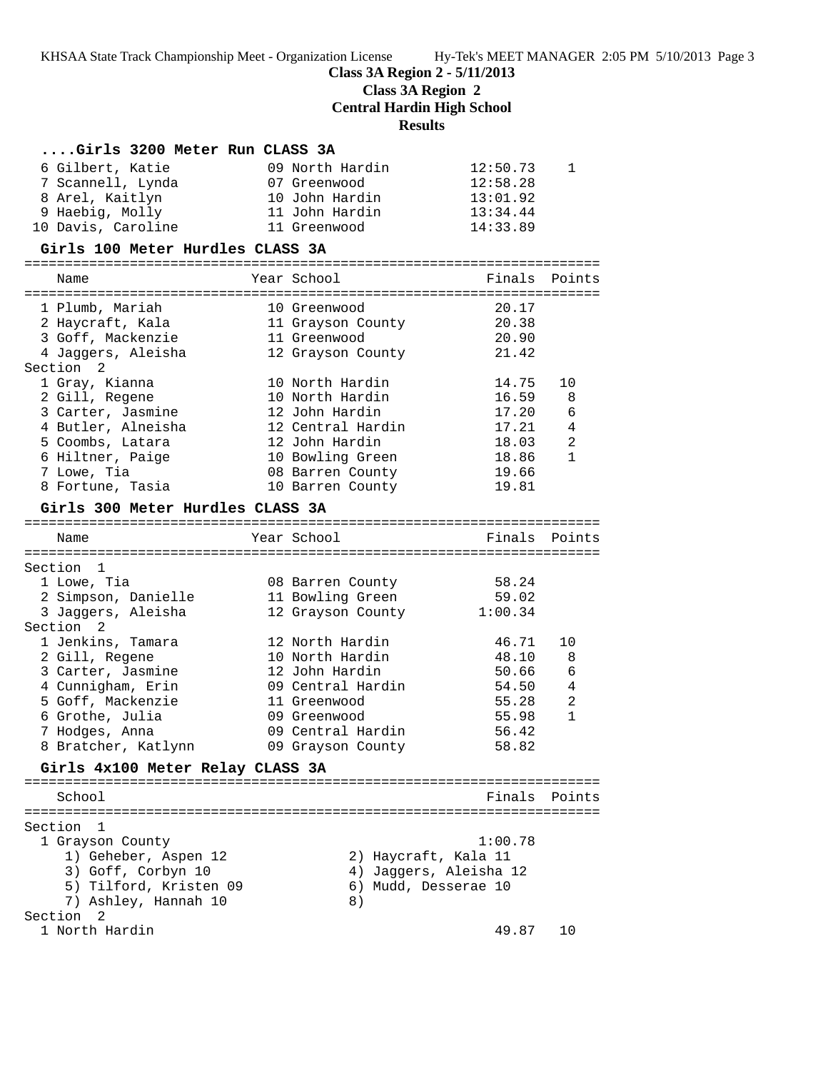**Class 3A Region 2 - 5/11/2013**

**Class 3A Region 2**

**Central Hardin High School**

**Results**

| 6 Gilbert, Katie<br>09 North Hardin<br>12:50.73<br>1<br>7 Scannell, Lynda<br>12:58.28<br>07 Greenwood<br>8 Arel, Kaitlyn<br>10 John Hardin<br>13:01.92<br>9 Haebig, Molly<br>11 John Hardin<br>13:34.44<br>10 Davis, Caroline<br>14:33.89<br>11 Greenwood<br>Girls 100 Meter Hurdles CLASS 3A<br>Year School<br>Finals<br>Points<br>Name<br>1 Plumb, Mariah<br>20.17<br>10 Greenwood<br>20.38<br>2 Haycraft, Kala<br>11 Grayson County<br>3 Goff, Mackenzie<br>11 Greenwood<br>20.90<br>4 Jaggers, Aleisha<br>21.42<br>12 Grayson County<br>Section <sub>2</sub><br>10 North Hardin<br>14.75<br>1 Gray, Kianna<br>10<br>2 Gill, Regene<br>10 North Hardin<br>16.59<br>8<br>3 Carter, Jasmine<br>12 John Hardin<br>17.20<br>6<br>4 Butler, Alneisha<br>12 Central Hardin<br>17.21<br>4<br>5 Coombs, Latara<br>12 John Hardin<br>18.03<br>2<br>6 Hiltner, Paige<br>10 Bowling Green<br>18.86<br>$\mathbf{1}$<br>7 Lowe, Tia<br>08 Barren County<br>19.66<br>19.81<br>8 Fortune, Tasia<br>10 Barren County<br>Girls 300 Meter Hurdles CLASS 3A<br>Year School<br>Finals Points<br>Name<br>Section 1<br>58.24<br>1 Lowe, Tia<br>08 Barren County<br>2 Simpson, Danielle<br>11 Bowling Green<br>59.02<br>3 Jaggers, Aleisha<br>12 Grayson County<br>1:00.34<br>Section<br>2<br>1 Jenkins, Tamara<br>12 North Hardin<br>46.71<br>10<br>2 Gill, Regene<br>10 North Hardin<br>48.10<br>8<br>3 Carter, Jasmine<br>12 John Hardin<br>50.66<br>6<br>4 Cunnigham, Erin<br>09 Central Hardin<br>54.50<br>4<br>5 Goff, Mackenzie<br>55.28<br>2<br>11 Greenwood<br>6 Grothe, Julia<br>09 Greenwood<br>55.98<br>1<br>7 Hodges, Anna<br>09 Central Hardin<br>56.42<br>8 Bratcher, Katlynn<br>58.82<br>09 Grayson County<br>Girls 4x100 Meter Relay CLASS 3A<br>School<br>Finals<br>Points<br>Section<br>1<br>1:00.78<br>1 Grayson County<br>1) Geheber, Aspen 12<br>2) Haycraft, Kala 11<br>3) Goff, Corbyn 10<br>4) Jaggers, Aleisha 12<br>5) Tilford, Kristen 09<br>6) Mudd, Desserae 10<br>7) Ashley, Hannah 10<br>8)<br>Section<br>$\overline{2}$<br>1 North Hardin<br>49.87<br>10 | Girls 3200 Meter Run CLASS 3A |  |  |
|-----------------------------------------------------------------------------------------------------------------------------------------------------------------------------------------------------------------------------------------------------------------------------------------------------------------------------------------------------------------------------------------------------------------------------------------------------------------------------------------------------------------------------------------------------------------------------------------------------------------------------------------------------------------------------------------------------------------------------------------------------------------------------------------------------------------------------------------------------------------------------------------------------------------------------------------------------------------------------------------------------------------------------------------------------------------------------------------------------------------------------------------------------------------------------------------------------------------------------------------------------------------------------------------------------------------------------------------------------------------------------------------------------------------------------------------------------------------------------------------------------------------------------------------------------------------------------------------------------------------------------------------------------------------------------------------------------------------------------------------------------------------------------------------------------------------------------------------------------------------------------------------------------------------------------------------------------------------------------------------------------------------------------------------------------------------------|-------------------------------|--|--|
|                                                                                                                                                                                                                                                                                                                                                                                                                                                                                                                                                                                                                                                                                                                                                                                                                                                                                                                                                                                                                                                                                                                                                                                                                                                                                                                                                                                                                                                                                                                                                                                                                                                                                                                                                                                                                                                                                                                                                                                                                                                                       |                               |  |  |
|                                                                                                                                                                                                                                                                                                                                                                                                                                                                                                                                                                                                                                                                                                                                                                                                                                                                                                                                                                                                                                                                                                                                                                                                                                                                                                                                                                                                                                                                                                                                                                                                                                                                                                                                                                                                                                                                                                                                                                                                                                                                       |                               |  |  |
|                                                                                                                                                                                                                                                                                                                                                                                                                                                                                                                                                                                                                                                                                                                                                                                                                                                                                                                                                                                                                                                                                                                                                                                                                                                                                                                                                                                                                                                                                                                                                                                                                                                                                                                                                                                                                                                                                                                                                                                                                                                                       |                               |  |  |
|                                                                                                                                                                                                                                                                                                                                                                                                                                                                                                                                                                                                                                                                                                                                                                                                                                                                                                                                                                                                                                                                                                                                                                                                                                                                                                                                                                                                                                                                                                                                                                                                                                                                                                                                                                                                                                                                                                                                                                                                                                                                       |                               |  |  |
|                                                                                                                                                                                                                                                                                                                                                                                                                                                                                                                                                                                                                                                                                                                                                                                                                                                                                                                                                                                                                                                                                                                                                                                                                                                                                                                                                                                                                                                                                                                                                                                                                                                                                                                                                                                                                                                                                                                                                                                                                                                                       |                               |  |  |
|                                                                                                                                                                                                                                                                                                                                                                                                                                                                                                                                                                                                                                                                                                                                                                                                                                                                                                                                                                                                                                                                                                                                                                                                                                                                                                                                                                                                                                                                                                                                                                                                                                                                                                                                                                                                                                                                                                                                                                                                                                                                       |                               |  |  |
|                                                                                                                                                                                                                                                                                                                                                                                                                                                                                                                                                                                                                                                                                                                                                                                                                                                                                                                                                                                                                                                                                                                                                                                                                                                                                                                                                                                                                                                                                                                                                                                                                                                                                                                                                                                                                                                                                                                                                                                                                                                                       |                               |  |  |
|                                                                                                                                                                                                                                                                                                                                                                                                                                                                                                                                                                                                                                                                                                                                                                                                                                                                                                                                                                                                                                                                                                                                                                                                                                                                                                                                                                                                                                                                                                                                                                                                                                                                                                                                                                                                                                                                                                                                                                                                                                                                       |                               |  |  |
|                                                                                                                                                                                                                                                                                                                                                                                                                                                                                                                                                                                                                                                                                                                                                                                                                                                                                                                                                                                                                                                                                                                                                                                                                                                                                                                                                                                                                                                                                                                                                                                                                                                                                                                                                                                                                                                                                                                                                                                                                                                                       |                               |  |  |
|                                                                                                                                                                                                                                                                                                                                                                                                                                                                                                                                                                                                                                                                                                                                                                                                                                                                                                                                                                                                                                                                                                                                                                                                                                                                                                                                                                                                                                                                                                                                                                                                                                                                                                                                                                                                                                                                                                                                                                                                                                                                       |                               |  |  |
|                                                                                                                                                                                                                                                                                                                                                                                                                                                                                                                                                                                                                                                                                                                                                                                                                                                                                                                                                                                                                                                                                                                                                                                                                                                                                                                                                                                                                                                                                                                                                                                                                                                                                                                                                                                                                                                                                                                                                                                                                                                                       |                               |  |  |
|                                                                                                                                                                                                                                                                                                                                                                                                                                                                                                                                                                                                                                                                                                                                                                                                                                                                                                                                                                                                                                                                                                                                                                                                                                                                                                                                                                                                                                                                                                                                                                                                                                                                                                                                                                                                                                                                                                                                                                                                                                                                       |                               |  |  |
|                                                                                                                                                                                                                                                                                                                                                                                                                                                                                                                                                                                                                                                                                                                                                                                                                                                                                                                                                                                                                                                                                                                                                                                                                                                                                                                                                                                                                                                                                                                                                                                                                                                                                                                                                                                                                                                                                                                                                                                                                                                                       |                               |  |  |
|                                                                                                                                                                                                                                                                                                                                                                                                                                                                                                                                                                                                                                                                                                                                                                                                                                                                                                                                                                                                                                                                                                                                                                                                                                                                                                                                                                                                                                                                                                                                                                                                                                                                                                                                                                                                                                                                                                                                                                                                                                                                       |                               |  |  |
|                                                                                                                                                                                                                                                                                                                                                                                                                                                                                                                                                                                                                                                                                                                                                                                                                                                                                                                                                                                                                                                                                                                                                                                                                                                                                                                                                                                                                                                                                                                                                                                                                                                                                                                                                                                                                                                                                                                                                                                                                                                                       |                               |  |  |
|                                                                                                                                                                                                                                                                                                                                                                                                                                                                                                                                                                                                                                                                                                                                                                                                                                                                                                                                                                                                                                                                                                                                                                                                                                                                                                                                                                                                                                                                                                                                                                                                                                                                                                                                                                                                                                                                                                                                                                                                                                                                       |                               |  |  |
|                                                                                                                                                                                                                                                                                                                                                                                                                                                                                                                                                                                                                                                                                                                                                                                                                                                                                                                                                                                                                                                                                                                                                                                                                                                                                                                                                                                                                                                                                                                                                                                                                                                                                                                                                                                                                                                                                                                                                                                                                                                                       |                               |  |  |
|                                                                                                                                                                                                                                                                                                                                                                                                                                                                                                                                                                                                                                                                                                                                                                                                                                                                                                                                                                                                                                                                                                                                                                                                                                                                                                                                                                                                                                                                                                                                                                                                                                                                                                                                                                                                                                                                                                                                                                                                                                                                       |                               |  |  |
|                                                                                                                                                                                                                                                                                                                                                                                                                                                                                                                                                                                                                                                                                                                                                                                                                                                                                                                                                                                                                                                                                                                                                                                                                                                                                                                                                                                                                                                                                                                                                                                                                                                                                                                                                                                                                                                                                                                                                                                                                                                                       |                               |  |  |
|                                                                                                                                                                                                                                                                                                                                                                                                                                                                                                                                                                                                                                                                                                                                                                                                                                                                                                                                                                                                                                                                                                                                                                                                                                                                                                                                                                                                                                                                                                                                                                                                                                                                                                                                                                                                                                                                                                                                                                                                                                                                       |                               |  |  |
|                                                                                                                                                                                                                                                                                                                                                                                                                                                                                                                                                                                                                                                                                                                                                                                                                                                                                                                                                                                                                                                                                                                                                                                                                                                                                                                                                                                                                                                                                                                                                                                                                                                                                                                                                                                                                                                                                                                                                                                                                                                                       |                               |  |  |
|                                                                                                                                                                                                                                                                                                                                                                                                                                                                                                                                                                                                                                                                                                                                                                                                                                                                                                                                                                                                                                                                                                                                                                                                                                                                                                                                                                                                                                                                                                                                                                                                                                                                                                                                                                                                                                                                                                                                                                                                                                                                       |                               |  |  |
|                                                                                                                                                                                                                                                                                                                                                                                                                                                                                                                                                                                                                                                                                                                                                                                                                                                                                                                                                                                                                                                                                                                                                                                                                                                                                                                                                                                                                                                                                                                                                                                                                                                                                                                                                                                                                                                                                                                                                                                                                                                                       |                               |  |  |
|                                                                                                                                                                                                                                                                                                                                                                                                                                                                                                                                                                                                                                                                                                                                                                                                                                                                                                                                                                                                                                                                                                                                                                                                                                                                                                                                                                                                                                                                                                                                                                                                                                                                                                                                                                                                                                                                                                                                                                                                                                                                       |                               |  |  |
|                                                                                                                                                                                                                                                                                                                                                                                                                                                                                                                                                                                                                                                                                                                                                                                                                                                                                                                                                                                                                                                                                                                                                                                                                                                                                                                                                                                                                                                                                                                                                                                                                                                                                                                                                                                                                                                                                                                                                                                                                                                                       |                               |  |  |
|                                                                                                                                                                                                                                                                                                                                                                                                                                                                                                                                                                                                                                                                                                                                                                                                                                                                                                                                                                                                                                                                                                                                                                                                                                                                                                                                                                                                                                                                                                                                                                                                                                                                                                                                                                                                                                                                                                                                                                                                                                                                       |                               |  |  |
|                                                                                                                                                                                                                                                                                                                                                                                                                                                                                                                                                                                                                                                                                                                                                                                                                                                                                                                                                                                                                                                                                                                                                                                                                                                                                                                                                                                                                                                                                                                                                                                                                                                                                                                                                                                                                                                                                                                                                                                                                                                                       |                               |  |  |
|                                                                                                                                                                                                                                                                                                                                                                                                                                                                                                                                                                                                                                                                                                                                                                                                                                                                                                                                                                                                                                                                                                                                                                                                                                                                                                                                                                                                                                                                                                                                                                                                                                                                                                                                                                                                                                                                                                                                                                                                                                                                       |                               |  |  |
|                                                                                                                                                                                                                                                                                                                                                                                                                                                                                                                                                                                                                                                                                                                                                                                                                                                                                                                                                                                                                                                                                                                                                                                                                                                                                                                                                                                                                                                                                                                                                                                                                                                                                                                                                                                                                                                                                                                                                                                                                                                                       |                               |  |  |
|                                                                                                                                                                                                                                                                                                                                                                                                                                                                                                                                                                                                                                                                                                                                                                                                                                                                                                                                                                                                                                                                                                                                                                                                                                                                                                                                                                                                                                                                                                                                                                                                                                                                                                                                                                                                                                                                                                                                                                                                                                                                       |                               |  |  |
|                                                                                                                                                                                                                                                                                                                                                                                                                                                                                                                                                                                                                                                                                                                                                                                                                                                                                                                                                                                                                                                                                                                                                                                                                                                                                                                                                                                                                                                                                                                                                                                                                                                                                                                                                                                                                                                                                                                                                                                                                                                                       |                               |  |  |
|                                                                                                                                                                                                                                                                                                                                                                                                                                                                                                                                                                                                                                                                                                                                                                                                                                                                                                                                                                                                                                                                                                                                                                                                                                                                                                                                                                                                                                                                                                                                                                                                                                                                                                                                                                                                                                                                                                                                                                                                                                                                       |                               |  |  |
|                                                                                                                                                                                                                                                                                                                                                                                                                                                                                                                                                                                                                                                                                                                                                                                                                                                                                                                                                                                                                                                                                                                                                                                                                                                                                                                                                                                                                                                                                                                                                                                                                                                                                                                                                                                                                                                                                                                                                                                                                                                                       |                               |  |  |
|                                                                                                                                                                                                                                                                                                                                                                                                                                                                                                                                                                                                                                                                                                                                                                                                                                                                                                                                                                                                                                                                                                                                                                                                                                                                                                                                                                                                                                                                                                                                                                                                                                                                                                                                                                                                                                                                                                                                                                                                                                                                       |                               |  |  |
|                                                                                                                                                                                                                                                                                                                                                                                                                                                                                                                                                                                                                                                                                                                                                                                                                                                                                                                                                                                                                                                                                                                                                                                                                                                                                                                                                                                                                                                                                                                                                                                                                                                                                                                                                                                                                                                                                                                                                                                                                                                                       |                               |  |  |
|                                                                                                                                                                                                                                                                                                                                                                                                                                                                                                                                                                                                                                                                                                                                                                                                                                                                                                                                                                                                                                                                                                                                                                                                                                                                                                                                                                                                                                                                                                                                                                                                                                                                                                                                                                                                                                                                                                                                                                                                                                                                       |                               |  |  |
|                                                                                                                                                                                                                                                                                                                                                                                                                                                                                                                                                                                                                                                                                                                                                                                                                                                                                                                                                                                                                                                                                                                                                                                                                                                                                                                                                                                                                                                                                                                                                                                                                                                                                                                                                                                                                                                                                                                                                                                                                                                                       |                               |  |  |
|                                                                                                                                                                                                                                                                                                                                                                                                                                                                                                                                                                                                                                                                                                                                                                                                                                                                                                                                                                                                                                                                                                                                                                                                                                                                                                                                                                                                                                                                                                                                                                                                                                                                                                                                                                                                                                                                                                                                                                                                                                                                       |                               |  |  |
|                                                                                                                                                                                                                                                                                                                                                                                                                                                                                                                                                                                                                                                                                                                                                                                                                                                                                                                                                                                                                                                                                                                                                                                                                                                                                                                                                                                                                                                                                                                                                                                                                                                                                                                                                                                                                                                                                                                                                                                                                                                                       |                               |  |  |
|                                                                                                                                                                                                                                                                                                                                                                                                                                                                                                                                                                                                                                                                                                                                                                                                                                                                                                                                                                                                                                                                                                                                                                                                                                                                                                                                                                                                                                                                                                                                                                                                                                                                                                                                                                                                                                                                                                                                                                                                                                                                       |                               |  |  |
|                                                                                                                                                                                                                                                                                                                                                                                                                                                                                                                                                                                                                                                                                                                                                                                                                                                                                                                                                                                                                                                                                                                                                                                                                                                                                                                                                                                                                                                                                                                                                                                                                                                                                                                                                                                                                                                                                                                                                                                                                                                                       |                               |  |  |
|                                                                                                                                                                                                                                                                                                                                                                                                                                                                                                                                                                                                                                                                                                                                                                                                                                                                                                                                                                                                                                                                                                                                                                                                                                                                                                                                                                                                                                                                                                                                                                                                                                                                                                                                                                                                                                                                                                                                                                                                                                                                       |                               |  |  |
|                                                                                                                                                                                                                                                                                                                                                                                                                                                                                                                                                                                                                                                                                                                                                                                                                                                                                                                                                                                                                                                                                                                                                                                                                                                                                                                                                                                                                                                                                                                                                                                                                                                                                                                                                                                                                                                                                                                                                                                                                                                                       |                               |  |  |
|                                                                                                                                                                                                                                                                                                                                                                                                                                                                                                                                                                                                                                                                                                                                                                                                                                                                                                                                                                                                                                                                                                                                                                                                                                                                                                                                                                                                                                                                                                                                                                                                                                                                                                                                                                                                                                                                                                                                                                                                                                                                       |                               |  |  |
|                                                                                                                                                                                                                                                                                                                                                                                                                                                                                                                                                                                                                                                                                                                                                                                                                                                                                                                                                                                                                                                                                                                                                                                                                                                                                                                                                                                                                                                                                                                                                                                                                                                                                                                                                                                                                                                                                                                                                                                                                                                                       |                               |  |  |
|                                                                                                                                                                                                                                                                                                                                                                                                                                                                                                                                                                                                                                                                                                                                                                                                                                                                                                                                                                                                                                                                                                                                                                                                                                                                                                                                                                                                                                                                                                                                                                                                                                                                                                                                                                                                                                                                                                                                                                                                                                                                       |                               |  |  |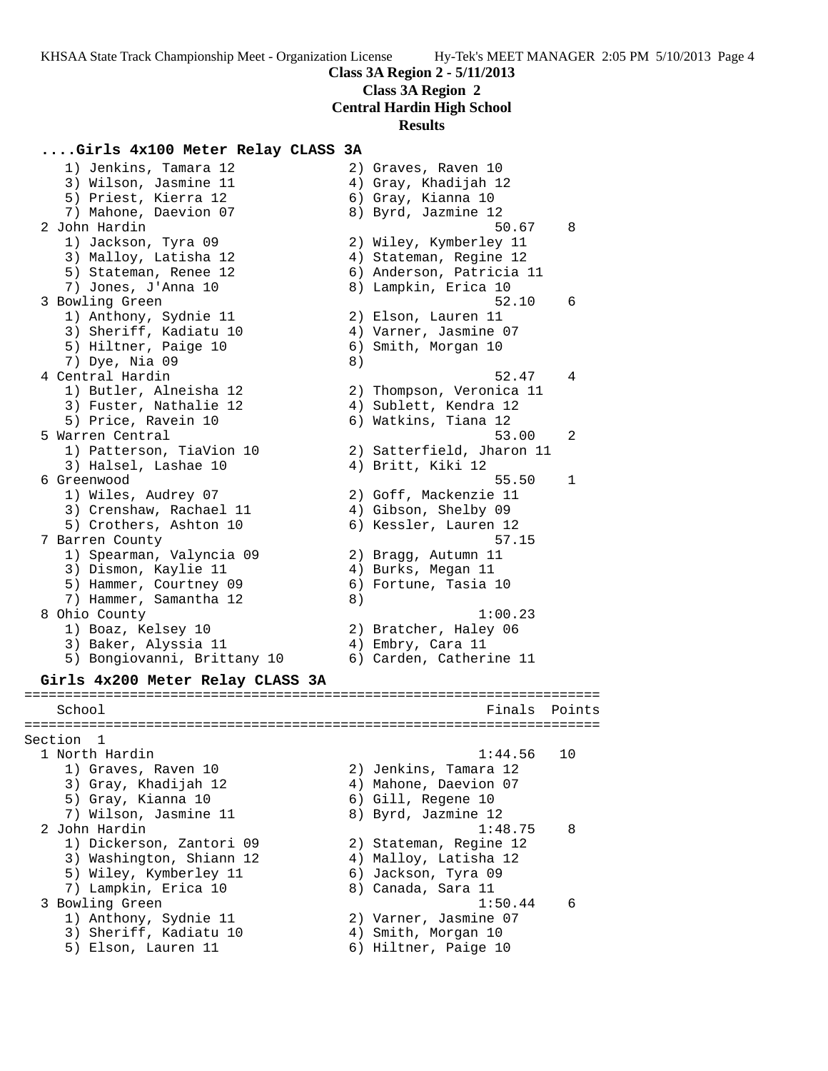**Class 3A Region 2**

# **Central Hardin High School**

### **Results**

## **....Girls 4x100 Meter Relay CLASS 3A**

 1) Jenkins, Tamara 12 2) Graves, Raven 10 3) Wilson, Jasmine 11  $\hskip1cm$  4) Gray, Khadijah 12 5) Priest, Kierra 12 (6) Gray, Kianna 10 7) Mahone, Daevion 07 8) Byrd, Jazmine 12 2 John Hardin 50.67 8 1) Jackson, Tyra 09 2) Wiley, Kymberley 11 3) Malloy, Latisha 12 4) Stateman, Regine 12 5) Stateman, Renee 12 6) Anderson, Patricia 11 7) Jones, J'Anna 10 8) Lampkin, Erica 10 3 Bowling Green 52.10 6 1) Anthony, Sydnie 11 and 2) Elson, Lauren 11 3) Sheriff, Kadiatu 10 4) Varner, Jasmine 07 5) Hiltner, Paige 10 6) Smith, Morgan 10 7) Dye, Nia 09 8) 4 Central Hardin 52.47 4 1) Butler, Alneisha 12 2) Thompson, Veronica 11 3) Fuster, Nathalie 12 4) Sublett, Kendra 12 5) Price, Ravein 10 (6) Watkins, Tiana 12 5 Warren Central 53.00 2 1) Patterson, TiaVion 10 2) Satterfield, Jharon 11 3) Halsel, Lashae 10 (4) Britt, Kiki 12 6 Greenwood 55.50 1 1) Wiles, Audrey 07 2) Goff, Mackenzie 11 3) Crenshaw, Rachael 11 (4) Gibson, Shelby 09 5) Crothers, Ashton 10 6) Kessler, Lauren 12 7 Barren County 57.15 1) Spearman, Valyncia 09 2) Bragg, Autumn 11 3) Dismon, Kaylie 11 (4) Burks, Megan 11 5) Hammer, Courtney 09 (6) Fortune, Tasia 10 7) Hammer, Samantha 12 (8) 8 Ohio County 1:00.23 1) Boaz, Kelsey 10 2) Bratcher, Haley 06 3) Baker, Alyssia 11 (4) Embry, Cara 11 5) Bongiovanni, Brittany 10 6) Carden, Catherine 11 **Girls 4x200 Meter Relay CLASS 3A** ======================================================================= School **Finals Points** ======================================================================= Section 1<br>1 North Hardin 1 North Hardin 1:44.56 10 1) Graves, Raven 10 2) Jenkins, Tamara 12 3) Gray, Khadijah 12 4) Mahone, Daevion 07 5) Gray, Kianna 10 6) Gill, Regene 10 7) Wilson, Jasmine 11 8) Byrd, Jazmine 12 2 John Hardin 1:48.75 8 1) Dickerson, Zantori 09 2) Stateman, Regine 12 3) Washington, Shiann 12 4) Malloy, Latisha 12 5) Wiley, Kymberley 11  $\qquad \qquad$  6) Jackson, Tyra 09 7) Lampkin, Erica 10 8) Canada, Sara 11 3 Bowling Green 2012 1:50.44 6 1) Anthony, Sydnie 11 2) Varner, Jasmine 07 3) Sheriff, Kadiatu 10  $\hspace{1cm}$  4) Smith, Morgan 10 5) Elson, Lauren 11 and 6) Hiltner, Paige 10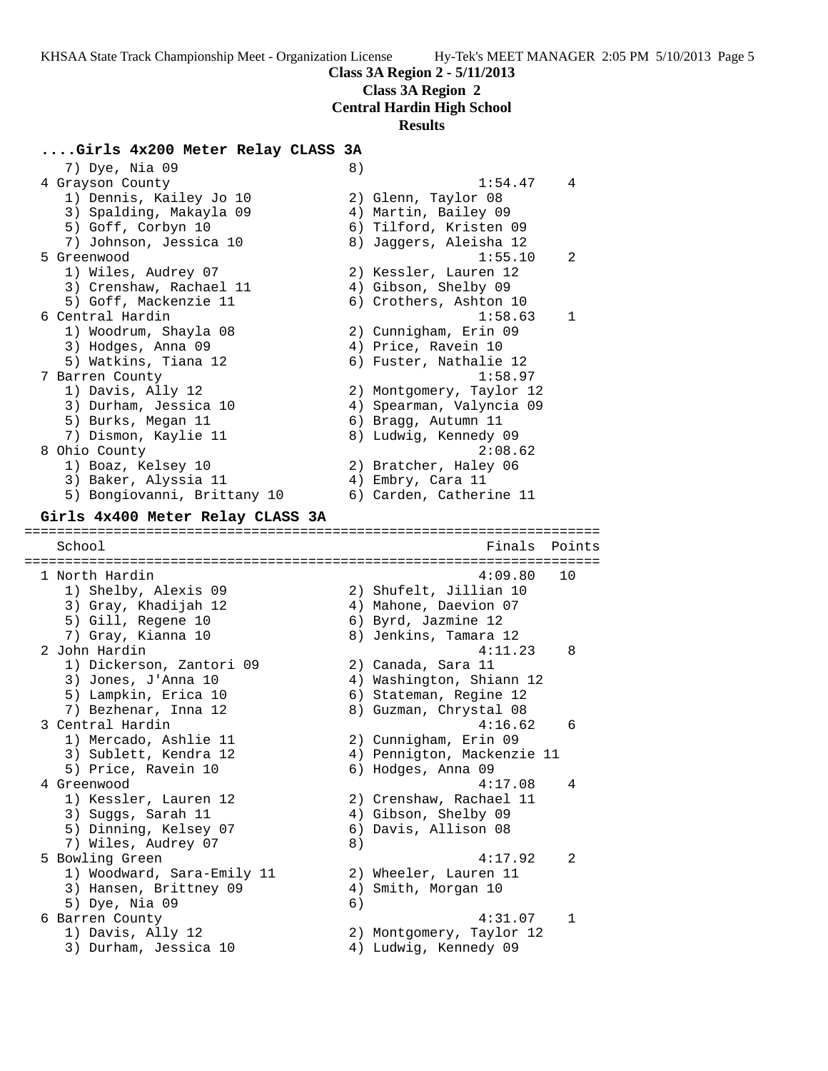**Class 3A Region 2**

**Central Hardin High School**

#### **Results**

# **....Girls 4x200 Meter Relay CLASS 3A**

7) Dye, Nia 09 8) 4 Grayson County 1:54.47 4 1) Dennis, Kailey Jo 10 2) Glenn, Taylor 08 3) Spalding, Makayla 09 4) Martin, Bailey 09 5) Goff, Corbyn 10 6) Tilford, Kristen 09 7) Johnson, Jessica 10 8) Jaggers, Aleisha 12 5 Greenwood 1:55.10 2 1) Wiles, Audrey 07 2) Kessler, Lauren 12 3) Crenshaw, Rachael 11 (4) Gibson, Shelby 09 5) Goff, Mackenzie 11 6) Crothers, Ashton 10 6 Central Hardin 1:58.63 1 1) Woodrum, Shayla 08 2) Cunnigham, Erin 09 3) Hodges, Anna 09 4) Price, Ravein 10 5) Watkins, Tiana 12 6) Fuster, Nathalie 12 7 Barren County 1:58.97 1) Davis, Ally 12 2) Montgomery, Taylor 12 3) Durham, Jessica 10 4) Spearman, Valyncia 09 5) Burks, Megan 11 6) Bragg, Autumn 11 7) Dismon, Kaylie 11 8) Ludwig, Kennedy 09 8 Ohio County 2:08.62 1) Boaz, Kelsey 10 2) Bratcher, Haley 06 3) Baker, Alyssia 11  $\qquad \qquad \qquad$  4) Embry, Cara 11 5) Bongiovanni, Brittany 10 6) Carden, Catherine 11 **Girls 4x400 Meter Relay CLASS 3A** ======================================================================= School Finals Points ======================================================================= 1 North Hardin 4:09.80 10 1) Shelby, Alexis 09 2) Shufelt, Jillian 10 3) Gray, Khadijah 12 4) Mahone, Daevion 07 5) Gill, Regene 10 6) Byrd, Jazmine 12 7) Gray, Kianna 10 8) Jenkins, Tamara 12 2 John Hardin 4:11.23 8 1) Dickerson, Zantori 09 2) Canada, Sara 11 3) Jones, J'Anna 10 4) Washington, Shiann 12 5) Lampkin, Erica 10 6) Stateman, Regine 12 7) Bezhenar, Inna 12 8) Guzman, Chrystal 08 3 Central Hardin 4:16.62 6 1) Mercado, Ashlie 11 2) Cunnigham, Erin 09 3) Sublett, Kendra 12 4) Pennigton, Mackenzie 11 5) Price, Ravein 10 6) Hodges, Anna 09 4 Greenwood 4:17.08 4 1) Kessler, Lauren 12 2) Crenshaw, Rachael 11 3) Suggs, Sarah 11 4) Gibson, Shelby 09 5) Dinning, Kelsey 07 6) Davis, Allison 08 7) Wiles, Audrey 07 8) 5 Bowling Green 4:17.92 2 1) Woodward, Sara-Emily 11 2) Wheeler, Lauren 11 3) Hansen, Brittney 09 (4) Smith, Morgan 10 5) Dye, Nia 09 6) 6 Barren County 4:31.07 1 1) Davis, Ally 12 2) Montgomery, Taylor 12 3) Durham, Jessica 10 4) Ludwig, Kennedy 09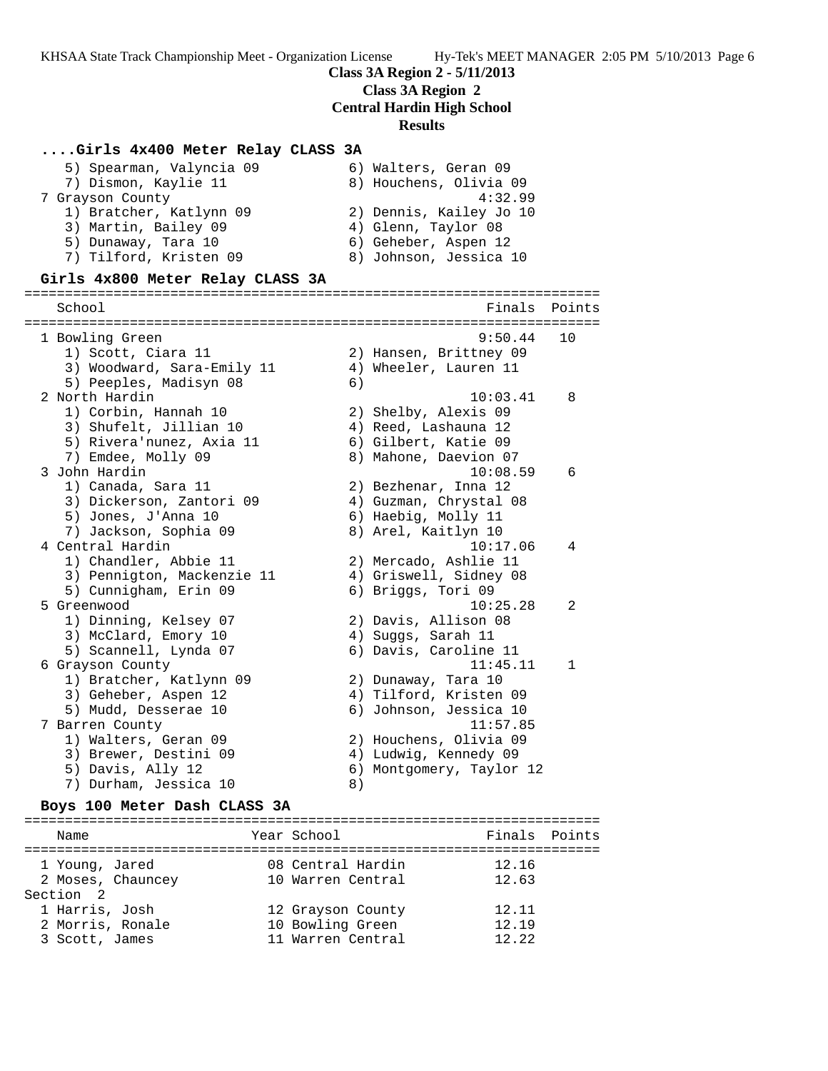# **Class 3A Region 2 - 5/11/2013**

**Class 3A Region 2**

**Central Hardin High School**

### **Results**

### **....Girls 4x400 Meter Relay CLASS 3A**

| 5) Spearman, Valyncia 09 | 6) Walters, Geran 09    |
|--------------------------|-------------------------|
| 7) Dismon, Kaylie 11     | 8) Houchens, Olivia 09  |
| 7 Grayson County         | 4:32.99                 |
| 1) Bratcher, Katlynn 09  | 2) Dennis, Kailey Jo 10 |
| 3) Martin, Bailey 09     | 4) Glenn, Taylor 08     |
| 5) Dunaway, Tara 10      | 6) Geheber, Aspen 12    |
| 7) Tilford, Kristen 09   | 8) Johnson, Jessica 10  |
|                          |                         |

#### **Girls 4x800 Meter Relay CLASS 3A**

======================================================================= School **Finals** Points **Points** ======================================================================= 1 Bowling Green 9:50.44 10 1) Scott, Ciara 11 2) Hansen, Brittney 09 3) Woodward, Sara-Emily 11 4) Wheeler, Lauren 11 5) Peeples, Madisyn 08 (6) 2 North Hardin 10:03.41 8 1) Corbin, Hannah 10 2) Shelby, Alexis 09 3) Shufelt, Jillian 10  $\hskip1cm$  4) Reed, Lashauna 12 5) Rivera'nunez, Axia 11  $\qquad \qquad$  6) Gilbert, Katie 09 7) Emdee, Molly 09 8) Mahone, Daevion 07 3 John Hardin 10:08.59 6 1) Canada, Sara 11 2) Bezhenar, Inna 12 3) Dickerson, Zantori 09 4) Guzman, Chrystal 08 5) Jones, J'Anna 10 6) Haebig, Molly 11 7) Jackson, Sophia 09 8) Arel, Kaitlyn 10 4 Central Hardin 10:17.06 4 1) Chandler, Abbie 11 2) Mercado, Ashlie 11 3) Pennigton, Mackenzie 11 4) Griswell, Sidney 08 5) Cunnigham, Erin 09 6) Briggs, Tori 09 5 Greenwood 10:25.28 2 1) Dinning, Kelsey 07 2) Davis, Allison 08 3) McClard, Emory 10  $\hskip1cm$  4) Suggs, Sarah 11 5) Scannell, Lynda 07 6) Davis, Caroline 11 6 Grayson County 11:45.11 1 1) Bratcher, Katlynn 09 2) Dunaway, Tara 10 3) Geheber, Aspen 12 4) Tilford, Kristen 09 5) Mudd, Desserae 10 6) Johnson, Jessica 10 7 Barren County 11:57.85 1) Walters, Geran 09 2) Houchens, Olivia 09 3) Brewer, Destini 09 4) Ludwig, Kennedy 09 5) Davis, Ally 12 6) Montgomery, Taylor 12 7) Durham, Jessica 10 (8)

#### **Boys 100 Meter Dash CLASS 3A**

======================================================================= Name The Year School Team Points Points ======================================================================= 1 Young, Jared 08 Central Hardin 12.16 2 Moses, Chauncey 10 Warren Central 12.63 Section 2 1 Harris, Josh 12 Grayson County 12.11 2 Morris, Ronale 10 Bowling Green 12.19 3 Scott, James 11 Warren Central 12.22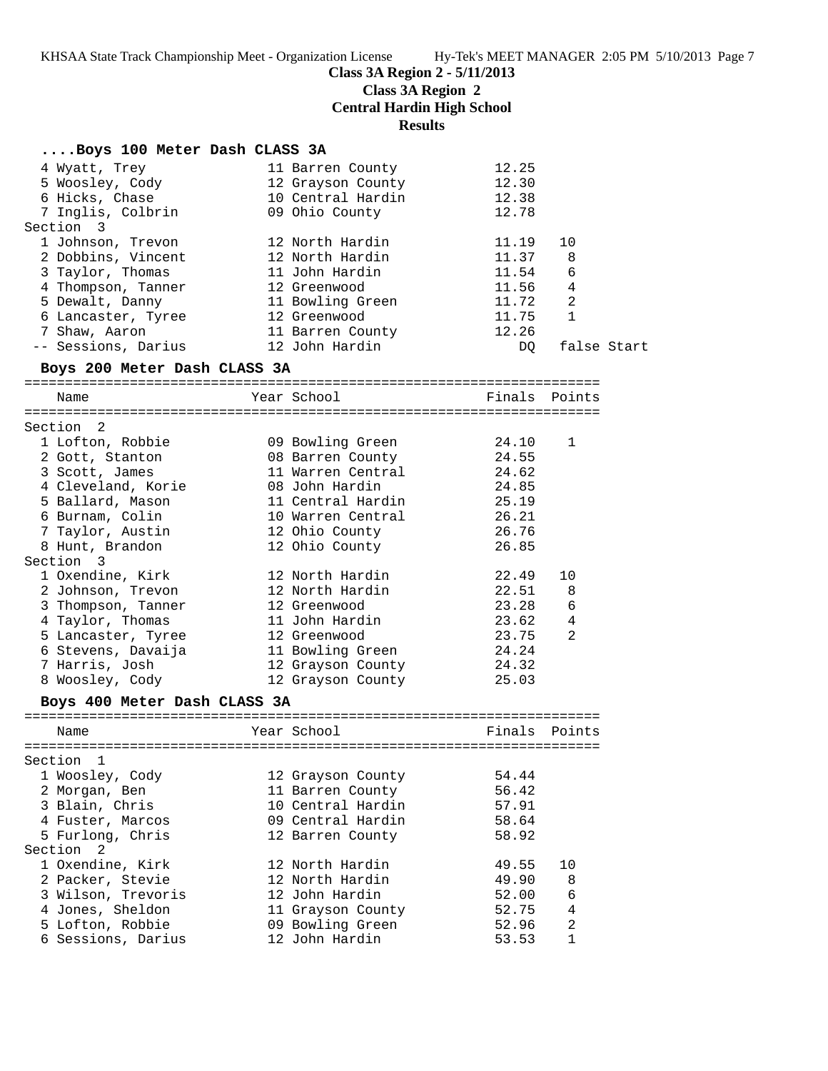# **Class 3A Region 2 - 5/11/2013**

**Class 3A Region 2**

**Central Hardin High School**

**Results**

| Boys 100 Meter Dash CLASS 3A |                   |               |              |             |
|------------------------------|-------------------|---------------|--------------|-------------|
| 4 Wyatt, Trey                | 11 Barren County  | 12.25         |              |             |
| 5 Woosley, Cody              | 12 Grayson County | 12.30         |              |             |
| 6 Hicks, Chase               | 10 Central Hardin | 12.38         |              |             |
| 7 Inglis, Colbrin            | 09 Ohio County    | 12.78         |              |             |
| Section 3                    |                   |               |              |             |
| 1 Johnson, Trevon            | 12 North Hardin   | 11.19         | 10           |             |
| 2 Dobbins, Vincent           | 12 North Hardin   | 11.37         | 8            |             |
| 3 Taylor, Thomas             | 11 John Hardin    | 11.54         | 6            |             |
| 4 Thompson, Tanner           | 12 Greenwood      | 11.56         | 4            |             |
| 5 Dewalt, Danny              | 11 Bowling Green  | 11.72         | 2            |             |
| 6 Lancaster, Tyree           | 12 Greenwood      | 11.75         | $\mathbf{1}$ |             |
| 7 Shaw, Aaron                | 11 Barren County  | 12.26         |              |             |
| -- Sessions, Darius          | 12 John Hardin    | DQ.           |              | false Start |
| Boys 200 Meter Dash CLASS 3A |                   |               |              |             |
| Name                         | Year School       | Finals Points |              |             |
| Section 2                    |                   |               |              |             |
| 1 Lofton, Robbie             | 09 Bowling Green  | 24.10         | 1            |             |
| 2 Gott, Stanton              | 08 Barren County  | 24.55         |              |             |
| 3 Scott, James               | 11 Warren Central | 24.62         |              |             |
| 4 Cleveland, Korie           | 08 John Hardin    | 24.85         |              |             |
| 5 Ballard, Mason             | 11 Central Hardin | 25.19         |              |             |
| 6 Burnam, Colin              | 10 Warren Central | 26.21         |              |             |
| 7 Taylor, Austin             | 12 Ohio County    | 26.76         |              |             |
| 8 Hunt, Brandon              | 12 Ohio County    | 26.85         |              |             |
| Section 3                    |                   |               |              |             |
| 1 Oxendine, Kirk             | 12 North Hardin   | 22.49         | 10           |             |
| 2 Johnson, Trevon            | 12 North Hardin   | 22.51         | 8            |             |
| 3 Thompson, Tanner           | 12 Greenwood      | 23.28         | 6            |             |
| 4 Taylor, Thomas             | 11 John Hardin    | 23.62         | 4            |             |
| 5 Lancaster, Tyree           | 12 Greenwood      | 23.75         | 2            |             |
| 6 Stevens, Davaija           | 11 Bowling Green  | 24.24         |              |             |
| 7 Harris, Josh               | 12 Grayson County | 24.32         |              |             |
| 8 Woosley, Cody              | 12 Grayson County | 25.03         |              |             |
| Boys 400 Meter Dash CLASS 3A |                   |               |              |             |
| Name                         | Year School       | Finals        | Points       |             |
|                              |                   |               |              |             |
| Section 1                    |                   |               |              |             |
| 1 Woosley, Cody              | 12 Grayson County | 54.44         |              |             |
| 2 Morgan, Ben                | 11 Barren County  | 56.42         |              |             |
| 3 Blain, Chris               | 10 Central Hardin | 57.91         |              |             |
| 4 Fuster, Marcos             | 09 Central Hardin | 58.64         |              |             |
| 5 Furlong, Chris             | 12 Barren County  | 58.92         |              |             |
| Section <sub>2</sub>         |                   |               |              |             |
| 1 Oxendine, Kirk             | 12 North Hardin   | 49.55         | 10           |             |
| 2 Packer, Stevie             | 12 North Hardin   | 49.90         | 8            |             |
| 3 Wilson, Trevoris           | 12 John Hardin    | 52.00         | 6            |             |
| 4 Jones, Sheldon             | 11 Grayson County | 52.75         | 4            |             |
| 5 Lofton, Robbie             | 09 Bowling Green  | 52.96         | 2            |             |
| 6 Sessions, Darius           | 12 John Hardin    | 53.53         | $\mathbf{1}$ |             |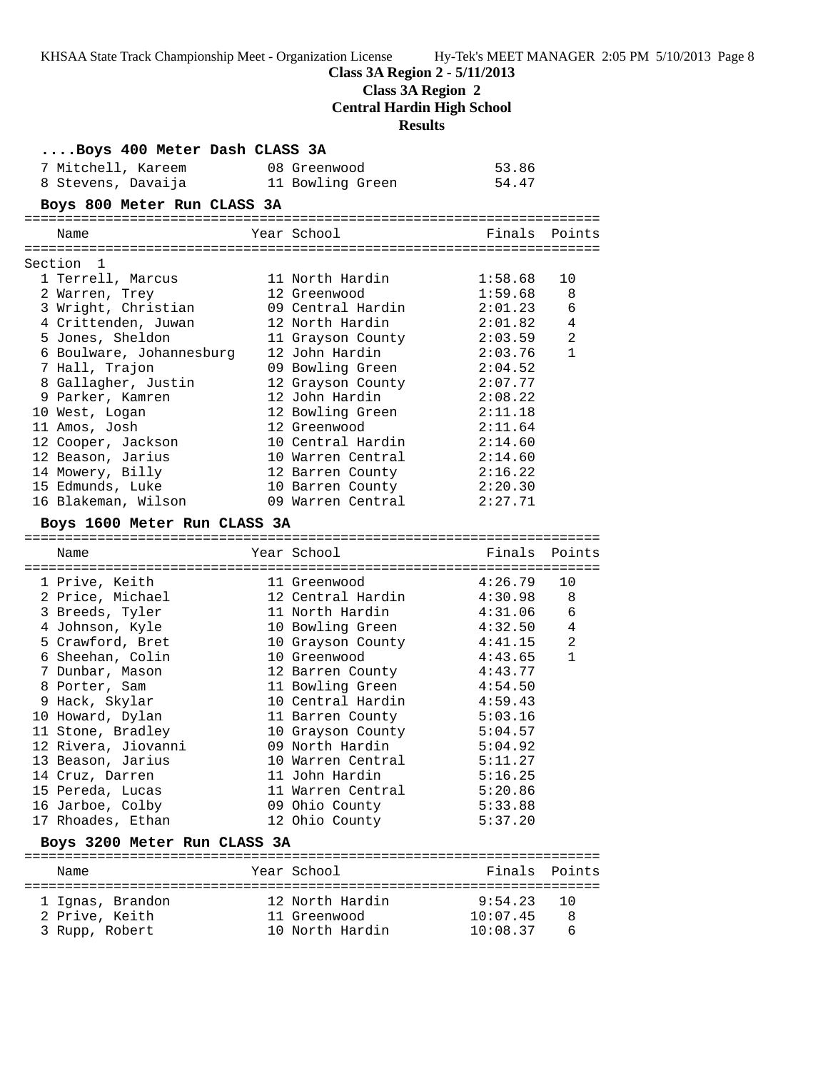**Class 3A Region 2 - 5/11/2013**

**Class 3A Region 2**

**Central Hardin High School**

**Results**

| Boys 400 Meter Dash CLASS 3A       |                                 |                     |              |
|------------------------------------|---------------------------------|---------------------|--------------|
| 7 Mitchell, Kareem                 | 08 Greenwood                    | 53.86               |              |
| 8 Stevens, Davaija                 | 11 Bowling Green                | 54.47               |              |
| Boys 800 Meter Run CLASS 3A        |                                 |                     |              |
| Name                               | Year School                     | Finals              | Points       |
|                                    |                                 |                     |              |
| Section 1                          |                                 |                     |              |
| 1 Terrell, Marcus                  | 11 North Hardin                 | 1:58.68             | 10           |
| 2 Warren, Trey                     | 12 Greenwood                    | 1:59.68             | 8            |
| 3 Wright, Christian                | 09 Central Hardin               | 2:01.23             | 6            |
| 4 Crittenden, Juwan                | 12 North Hardin                 | 2:01.82             | 4            |
| 5 Jones, Sheldon                   | 11 Grayson County               | 2:03.59             | 2            |
| 6 Boulware, Johannesburg           | 12 John Hardin                  | 2:03.76             | $\mathbf{1}$ |
| 7 Hall, Trajon                     | 09 Bowling Green                | 2:04.52             |              |
| 8 Gallagher, Justin                | 12 Grayson County               | 2:07.77             |              |
| 9 Parker, Kamren                   | 12 John Hardin                  | 2:08.22             |              |
| 10 West, Logan                     | 12 Bowling Green                | 2:11.18             |              |
| 11 Amos, Josh                      | 12 Greenwood                    | 2:11.64             |              |
| 12 Cooper, Jackson                 | 10 Central Hardin               | 2:14.60             |              |
| 12 Beason, Jarius                  | 10 Warren Central               | 2:14.60             |              |
| 14 Mowery, Billy                   | 12 Barren County                | 2:16.22             |              |
| 15 Edmunds, Luke                   | 10 Barren County                | 2:20.30             |              |
| 16 Blakeman, Wilson                | 09 Warren Central               | 2:27.71             |              |
| Boys 1600 Meter Run CLASS 3A       |                                 |                     |              |
|                                    |                                 |                     |              |
| Name                               | Year School                     | Finals              | Points       |
|                                    |                                 |                     |              |
| 1 Prive, Keith                     | 11 Greenwood                    | 4:26.79             | 10           |
| 2 Price, Michael                   | 12 Central Hardin               | 4:30.98             | 8            |
| 3 Breeds, Tyler                    | 11 North Hardin                 | 4:31.06             | 6            |
| 4 Johnson, Kyle                    | 10 Bowling Green                | 4:32.50             | 4            |
| 5 Crawford, Bret                   | 10 Grayson County               | 4:41.15             | 2            |
| 6 Sheehan, Colin                   | 10 Greenwood                    | 4:43.65             | 1            |
| 7 Dunbar, Mason                    | 12 Barren County                | 4:43.77             |              |
| 8 Porter, Sam                      | 11 Bowling Green                | 4:54.50             |              |
| 9 Hack, Skylar                     | 10 Central Hardin               | 4:59.43             |              |
| 10 Howard, Dylan                   | 11 Barren County                | 5:03.16             |              |
| 11 Stone, Bradley                  | 10 Grayson County               | 5:04.57             |              |
| 12 Rivera, Jiovanni                | 09 North Hardin                 | 5:04.92             |              |
| 13 Beason, Jarius                  | 10 Warren Central               | 5:11.27             |              |
| 14 Cruz, Darren                    | 11 John Hardin                  | 5:16.25             |              |
| 15 Pereda, Lucas                   | 11 Warren Central               | 5:20.86             |              |
| 16 Jarboe, Colby                   | 09 Ohio County                  | 5:33.88             |              |
| 17 Rhoades, Ethan                  | 12 Ohio County                  | 5:37.20             |              |
| Boys 3200 Meter Run CLASS 3A       |                                 |                     |              |
| Name                               | Year School                     | Finals              | Points       |
|                                    |                                 |                     | 10           |
| 1 Ignas, Brandon<br>2 Prive, Keith | 12 North Hardin<br>11 Greenwood | 9:54.23<br>10:07.45 | 8            |
| 3 Rupp, Robert                     | 10 North Hardin                 | 10:08.37            | 6            |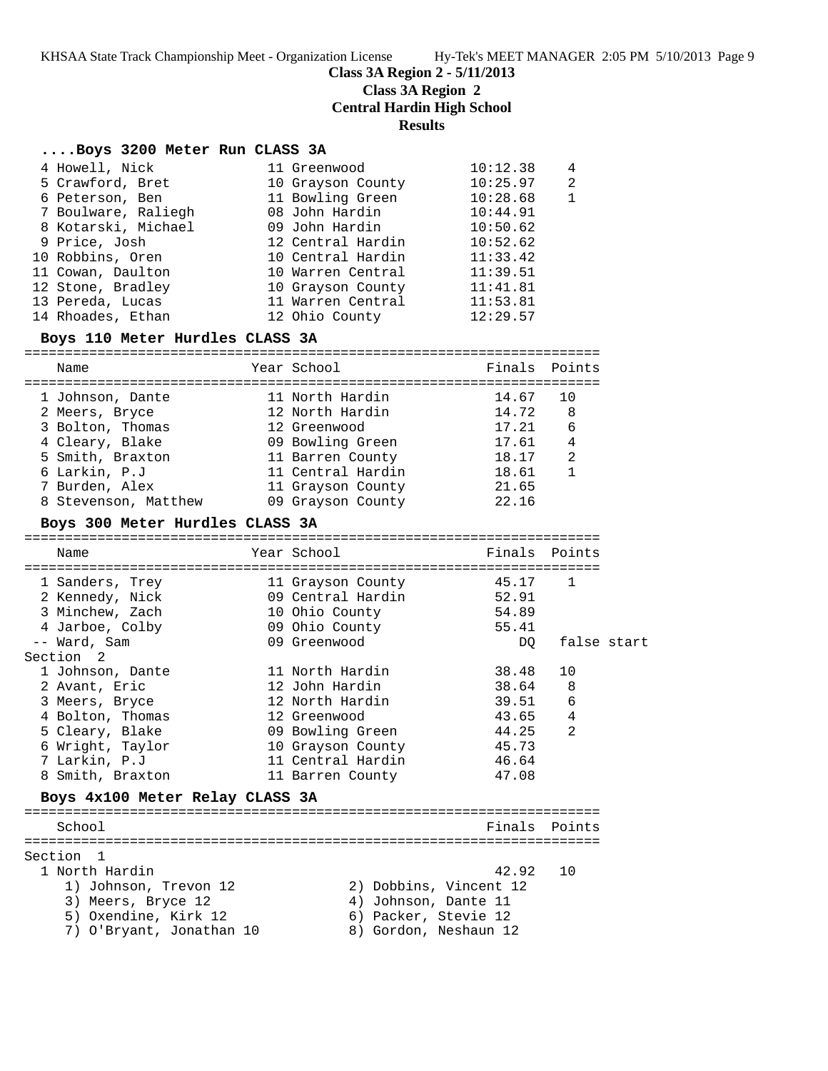**Class 3A Region 2 - 5/11/2013**

**Class 3A Region 2**

**Central Hardin High School**

**Results**

## **....Boys 3200 Meter Run CLASS 3A**

|                                                                                                                                                                                                                             | 10:12.38                                                                                                                                                                                                             | 4 |
|-----------------------------------------------------------------------------------------------------------------------------------------------------------------------------------------------------------------------------|----------------------------------------------------------------------------------------------------------------------------------------------------------------------------------------------------------------------|---|
|                                                                                                                                                                                                                             | 10:25.97                                                                                                                                                                                                             | 2 |
|                                                                                                                                                                                                                             | 10:28.68                                                                                                                                                                                                             |   |
|                                                                                                                                                                                                                             | 10:44.91                                                                                                                                                                                                             |   |
|                                                                                                                                                                                                                             | 10:50.62                                                                                                                                                                                                             |   |
|                                                                                                                                                                                                                             | 10:52.62                                                                                                                                                                                                             |   |
|                                                                                                                                                                                                                             | 11:33.42                                                                                                                                                                                                             |   |
|                                                                                                                                                                                                                             | 11:39.51                                                                                                                                                                                                             |   |
|                                                                                                                                                                                                                             | 11:41.81                                                                                                                                                                                                             |   |
|                                                                                                                                                                                                                             | 11:53.81                                                                                                                                                                                                             |   |
|                                                                                                                                                                                                                             | 12:29.57                                                                                                                                                                                                             |   |
| 4 Howell, Nick<br>5 Crawford, Bret<br>6 Peterson, Ben<br>7 Boulware, Raliegh<br>8 Kotarski, Michael<br>9 Price, Josh<br>10 Robbins, Oren<br>11 Cowan, Daulton<br>12 Stone, Bradley<br>13 Pereda, Lucas<br>14 Rhoades, Ethan | 11 Greenwood<br>10 Grayson County<br>11 Bowling Green<br>08 John Hardin<br>09 John Hardin<br>12 Central Hardin<br>10 Central Hardin<br>10 Warren Central<br>10 Grayson County<br>11 Warren Central<br>12 Ohio County |   |

### **Boys 110 Meter Hurdles CLASS 3A**

| Name                 | Year School       | Finals Points |                |
|----------------------|-------------------|---------------|----------------|
| 1 Johnson, Dante     | 11 North Hardin   | 14.67         | 10             |
| 2 Meers, Bryce       | 12 North Hardin   | 14.72         | - 8            |
| 3 Bolton, Thomas     | 12 Greenwood      | 17.21         | 6              |
| 4 Cleary, Blake      | 09 Bowling Green  | 17.61         | 4              |
| 5 Smith, Braxton     | 11 Barren County  | 18.17         | $\overline{2}$ |
| 6 Larkin, P.J        | 11 Central Hardin | 18.61         |                |
| 7 Burden, Alex       | 11 Grayson County | 21.65         |                |
| 8 Stevenson, Matthew | 09 Grayson County | 22.16         |                |

#### **Boys 300 Meter Hurdles CLASS 3A**

| Name                            | Year School       | Finals Points |                |  |
|---------------------------------|-------------------|---------------|----------------|--|
|                                 |                   |               |                |  |
| 1 Sanders, Trey                 | 11 Grayson County | 45.17 1       |                |  |
| 2 Kennedy, Nick                 | 09 Central Hardin | 52.91         |                |  |
| 3 Minchew, Zach                 | 10 Ohio County    | 54.89         |                |  |
| 4 Jarboe, Colby                 | 09 Ohio County    | 55.41         |                |  |
| -- Ward, Sam                    | 09 Greenwood      | DO            | false start    |  |
| Section 2                       |                   |               |                |  |
| 1 Johnson, Dante                | 11 North Hardin   | 38.48         | 10             |  |
| 2 Avant, Eric                   | 12 John Hardin    | 38.64         | 8              |  |
| 3 Meers, Bryce                  | 12 North Hardin   | 39.51         | 6              |  |
| 4 Bolton, Thomas                | 12 Greenwood      | 43.65         | $\overline{4}$ |  |
| 5 Cleary, Blake                 | 09 Bowling Green  | 44.25         | $\mathfrak{D}$ |  |
| 6 Wright, Taylor                | 10 Grayson County | 45.73         |                |  |
| 7 Larkin, P.J                   | 11 Central Hardin | 46.64         |                |  |
| 8 Smith, Braxton                | 11 Barren County  | 47.08         |                |  |
| Boys 4x100 Meter Relay CLASS 3A |                   |               |                |  |

======================================================================= School **Finals Points** ======================================================================= Section 1<br>1 North Hardin 1 North Hardin 42.92 10 1) Johnson, Trevon 12 2) Dobbins, Vincent 12 3) Meers, Bryce 12 4) Johnson, Dante 11 5) Oxendine, Kirk 12 (6) Packer, Stevie 12 7) O'Bryant, Jonathan 10 8) Gordon, Neshaun 12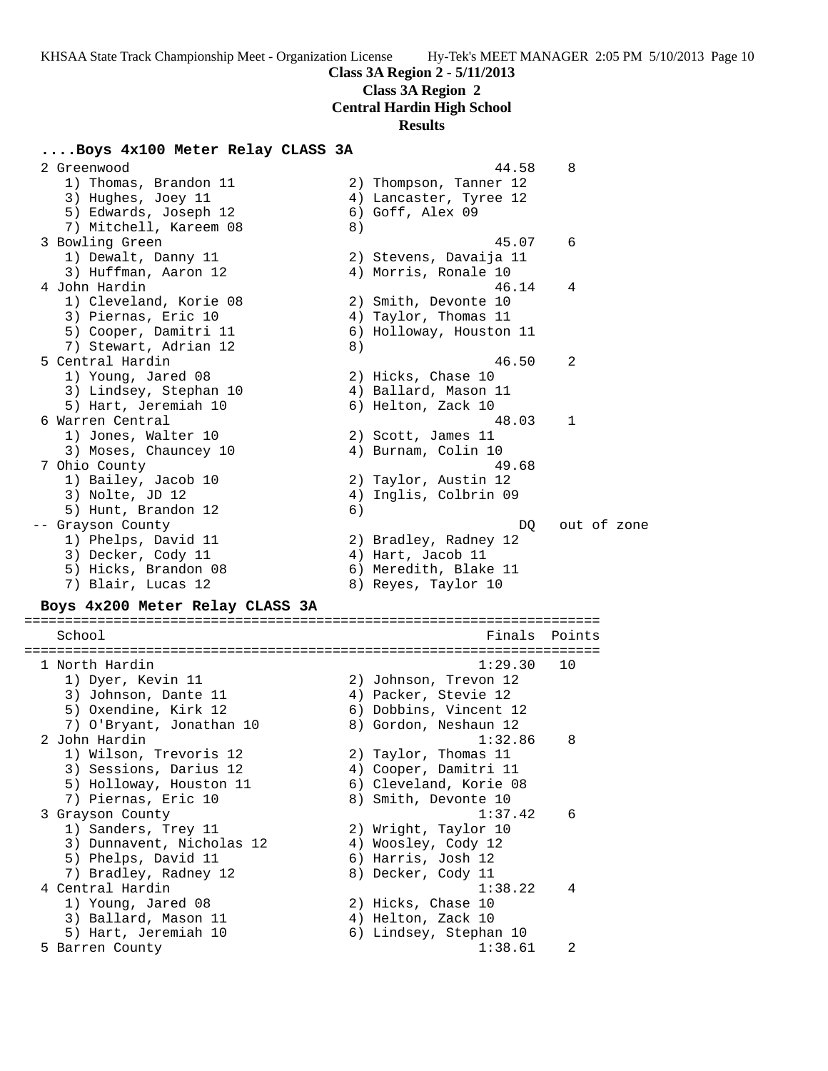**Class 3A Region 2**

**Central Hardin High School**

### **Results**

### **....Boys 4x100 Meter Relay CLASS 3A**

 2 Greenwood 44.58 8 1) Thomas, Brandon 11 2) Thompson, Tanner 12 3) Hughes, Joey 11 4) Lancaster, Tyree 12 5) Edwards, Joseph 12 6) Goff, Alex 09 7) Mitchell, Kareem 08 8) 3 Bowling Green 45.07 6 1) Dewalt, Danny 11 2) Stevens, Davaija 11 3) Huffman, Aaron 12 (4) Morris, Ronale 10 4 John Hardin 46.14 4 1) Cleveland, Korie 08 2) Smith, Devonte 10 3) Piernas, Eric 10 (4) Taylor, Thomas 11 5) Cooper, Damitri 11 6) Holloway, Houston 11 7) Stewart, Adrian 12 (8) 5 Central Hardin 46.50 2 1) Young, Jared 08 2) Hicks, Chase 10 3) Lindsey, Stephan 10 4) Ballard, Mason 11 5) Hart, Jeremiah 10 (6) Helton, Zack 10 6 Warren Central 48.03 1 1) Jones, Walter 10 2) Scott, James 11 3) Moses, Chauncey 10 (4) Burnam, Colin 10 7 Ohio County 49.68 1) Bailey, Jacob 10 2) Taylor, Austin 12 3) Nolte, JD 12 4) Inglis, Colbrin 09 5) Hunt, Brandon 12 6) -- Grayson County and the control of the DQ out of zone 1) Phelps, David 11 2) Bradley, Radney 12 3) Decker, Cody 11 (4) Hart, Jacob 11 5) Hicks, Brandon 08 6) Meredith, Blake 11 7) Blair, Lucas 12 and 8) Reyes, Taylor 10 **Boys 4x200 Meter Relay CLASS 3A** ======================================================================= School **Finals** Points ======================================================================= 1 North Hardin 1:29.30 10 1) Dyer, Kevin 11 2) Johnson, Trevon 12 3) Johnson, Dante 11 (4) Packer, Stevie 12 5) Oxendine, Kirk 12 6) Dobbins, Vincent 12 7) O'Bryant, Jonathan 10 8) Gordon, Neshaun 12 2 John Hardin 1:32.86 8 1) Wilson, Trevoris 12 2) Taylor, Thomas 11 3) Sessions, Darius 12 4) Cooper, Damitri 11 5) Holloway, Houston 11 6) Cleveland, Korie 08 7) Piernas, Eric 10 8) Smith, Devonte 10 3 Grayson County 1:37.42 6 1) Sanders, Trey 11 2) Wright, Taylor 10 3) Dunnavent, Nicholas 12 4) Woosley, Cody 12 5) Phelps, David 11 6) Harris, Josh 12 7) Bradley, Radney 12 8) Decker, Cody 11 4 Central Hardin 1:38.22 4 1) Young, Jared 08 2) Hicks, Chase 10 3) Ballard, Mason 11 4) Helton, Zack 10 5) Hart, Jeremiah 10 6) Lindsey, Stephan 10 5 Barren County 1:38.61 2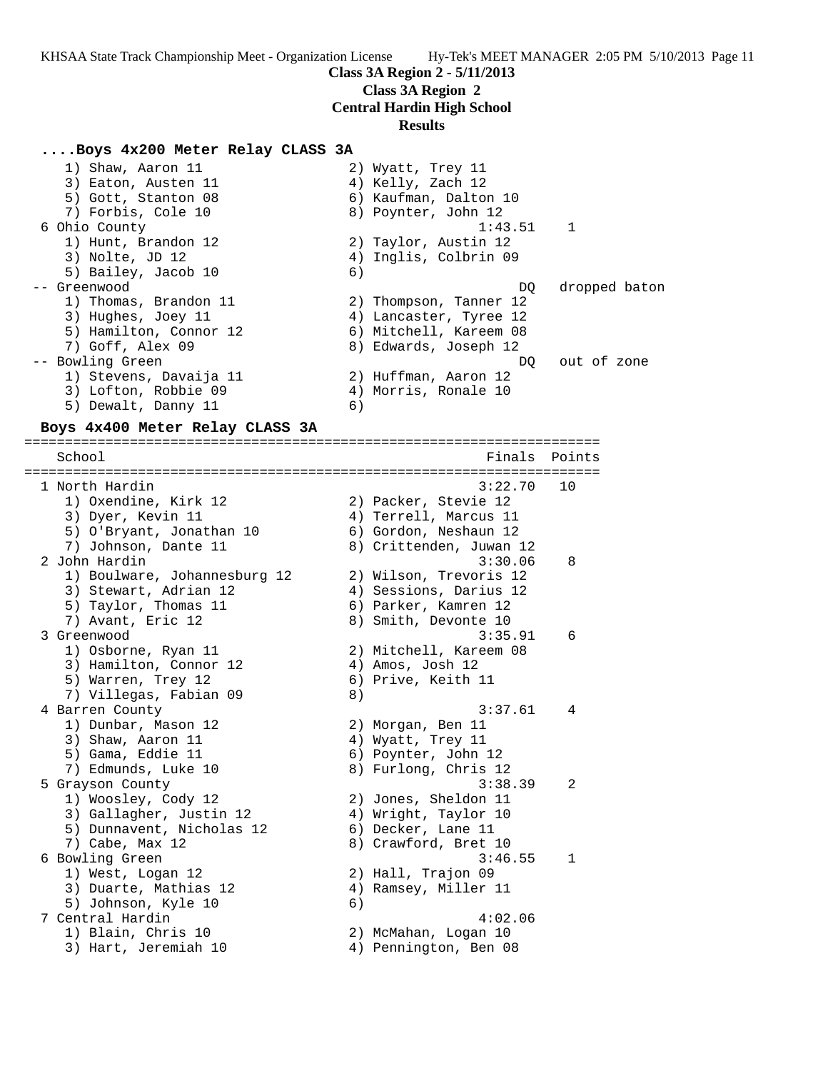# **Class 3A Region 2**

**Central Hardin High School**

#### **Results**

### **....Boys 4x200 Meter Relay CLASS 3A**

1) Shaw, Aaron 11 2) Wyatt, Trey 11 3) Eaton, Austen 11 (4) Kelly, Zach 12 5) Gott, Stanton 08 6) Kaufman, Dalton 10 7) Forbis, Cole 10 8) Poynter, John 12 6 Ohio County 1:43.51 1 1) Hunt, Brandon 12 2) Taylor, Austin 12 3) Nolte, JD 12 4) Inglis, Colbrin 09 5) Bailey, Jacob 10 6) -- Greenwood DQ dropped baton 1) Thomas, Brandon 11 2) Thompson, Tanner 12 3) Hughes, Joey 11 4) Lancaster, Tyree 12 5) Hamilton, Connor 12 6) Mitchell, Kareem 08 7) Goff, Alex 09 8) Edwards, Joseph 12 -- Bowling Green  $DQ$  out of zone 1) Stevens, Davaija 11  $\qquad \qquad$  2) Huffman, Aaron 12 3) Lofton, Robbie 09  $\hskip 1.6cm 4$  Morris, Ronale 10 5) Dewalt, Danny 11 6)

## **Boys 4x400 Meter Relay CLASS 3A**

======================================================================= School **Finals** Points ======================================================================= 1 North Hardin 3:22.70 10 1) Oxendine, Kirk 12 2) Packer, Stevie 12 3) Dyer, Kevin 11 4) Terrell, Marcus 11 5) O'Bryant, Jonathan 10 6) Gordon, Neshaun 12 7) Johnson, Dante 11 8) Crittenden, Juwan 12 2 John Hardin 3:30.06 8 1) Boulware, Johannesburg 12 2) Wilson, Trevoris 12 3) Stewart, Adrian 12 4) Sessions, Darius 12 5) Taylor, Thomas 11  $\qquad \qquad$  6) Parker, Kamren 12 7) Avant, Eric 12 and B 8) Smith, Devonte 10 3 Greenwood 3:35.91 6 1) Osborne, Ryan 11 2) Mitchell, Kareem 08 3) Hamilton, Connor 12 (4) Amos, Josh 12 5) Warren, Trey 12 6) Prive, Keith 11 7) Villegas, Fabian 09 8) 4 Barren County 3:37.61 4 1) Dunbar, Mason 12 2) Morgan, Ben 11 3) Shaw, Aaron 11 4) Wyatt, Trey 11 5) Gama, Eddie 11 6) Poynter, John 12 7) Edmunds, Luke 10 8) Furlong, Chris 12 5 Grayson County 3:38.39 2 1) Woosley, Cody 12 2) Jones, Sheldon 11 3) Gallagher, Justin 12 4) Wright, Taylor 10 5) Dunnavent, Nicholas 12 (6) Decker, Lane 11 7) Cabe, Max 12 8) Crawford, Bret 10 6 Bowling Green 3:46.55 1 1) West, Logan 12 2) Hall, Trajon 09 3) Duarte, Mathias 12  $\hskip1cm {4}$  2 Ramsey, Miller 11 5) Johnson, Kyle 10 (6) 7 Central Hardin 4:02.06 1) Blain, Chris 10 2) McMahan, Logan 10 3) Hart, Jeremiah 10 4) Pennington, Ben 08